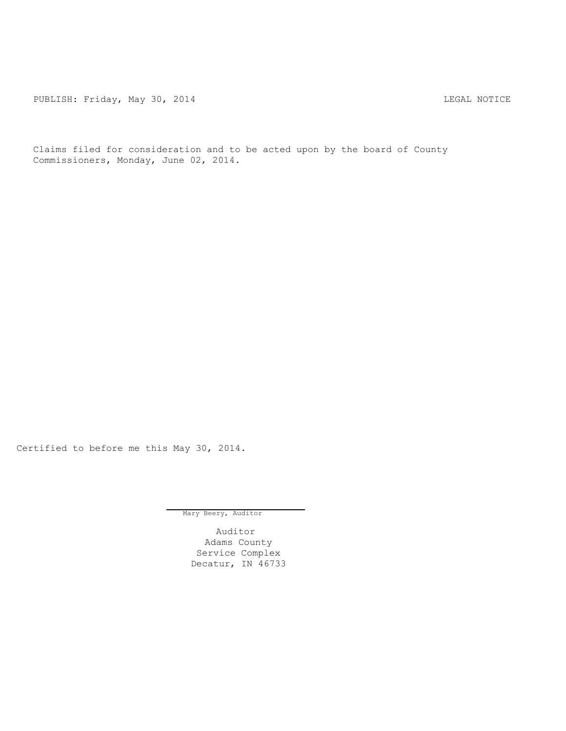PUBLISH: Friday, May 30, 2014 CHART CONSTRUCTED AND THE LEGAL NOTICE

Claims filed for consideration and to be acted upon by the board of County Commissioners, Monday, June 02, 2014.

Certified to before me this May 30, 2014.

Mary Beery, Auditor

Auditor Adams County Service Complex Decatur, IN 46733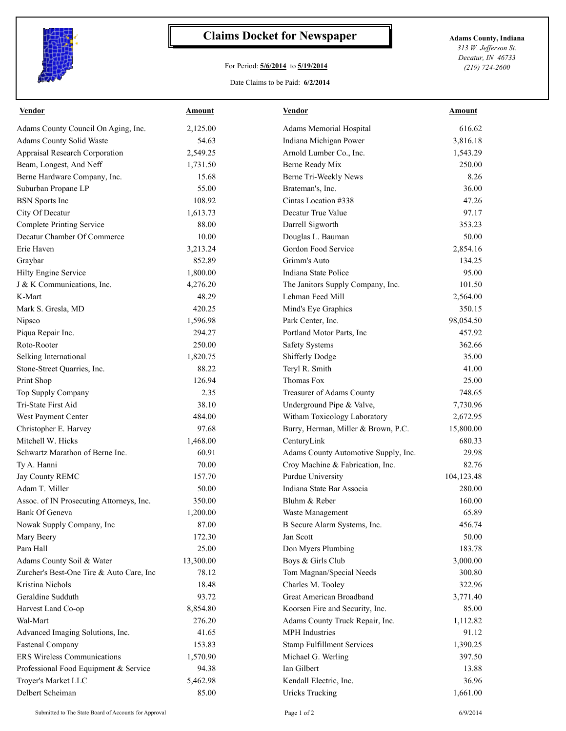

## **Claims Docket for Newspaper Adams County, Indiana**

## For Period: **5/6/2014** to **5/19/2014**

*313 W. Jefferson St. Decatur, IN 46733 (219) 724-2600*

## Date Claims to be Paid: **6/2/2014**

| <u>Vendor</u>                            | <u>Amount</u> | <b>Vendor</b>                        | <u>Amount</u> |
|------------------------------------------|---------------|--------------------------------------|---------------|
| Adams County Council On Aging, Inc.      | 2,125.00      | Adams Memorial Hospital              | 616.62        |
| Adams County Solid Waste                 | 54.63         | Indiana Michigan Power               | 3,816.18      |
| Appraisal Research Corporation           | 2,549.25      | Arnold Lumber Co., Inc.              | 1,543.29      |
| Beam, Longest, And Neff                  | 1,731.50      | <b>Berne Ready Mix</b>               | 250.00        |
| Berne Hardware Company, Inc.             | 15.68         | Berne Tri-Weekly News                | 8.26          |
| Suburban Propane LP                      | 55.00         | Brateman's, Inc.                     | 36.00         |
| <b>BSN</b> Sports Inc                    | 108.92        | Cintas Location #338                 | 47.26         |
| City Of Decatur                          | 1,613.73      | Decatur True Value                   | 97.17         |
| <b>Complete Printing Service</b>         | 88.00         | Darrell Sigworth                     | 353.23        |
| Decatur Chamber Of Commerce              | 10.00         | Douglas L. Bauman                    | 50.00         |
| Erie Haven                               | 3,213.24      | Gordon Food Service                  | 2,854.16      |
| Graybar                                  | 852.89        | Grimm's Auto                         | 134.25        |
| Hilty Engine Service                     | 1,800.00      | Indiana State Police                 | 95.00         |
| J & K Communications, Inc.               | 4,276.20      | The Janitors Supply Company, Inc.    | 101.50        |
| K-Mart                                   | 48.29         | Lehman Feed Mill                     | 2,564.00      |
| Mark S. Gresla, MD                       | 420.25        | Mind's Eye Graphics                  | 350.15        |
| Nipsco                                   | 1,596.98      | Park Center, Inc.                    | 98,054.50     |
| Piqua Repair Inc.                        | 294.27        | Portland Motor Parts, Inc            | 457.92        |
| Roto-Rooter                              | 250.00        | <b>Safety Systems</b>                | 362.66        |
| Selking International                    | 1,820.75      | Shifferly Dodge                      | 35.00         |
| Stone-Street Quarries, Inc.              | 88.22         | Teryl R. Smith                       | 41.00         |
| Print Shop                               | 126.94        | Thomas Fox                           | 25.00         |
| Top Supply Company                       | 2.35          | Treasurer of Adams County            | 748.65        |
| Tri-State First Aid                      | 38.10         | Underground Pipe & Valve,            | 7,730.96      |
| West Payment Center                      | 484.00        | Witham Toxicology Laboratory         | 2,672.95      |
| Christopher E. Harvey                    | 97.68         | Burry, Herman, Miller & Brown, P.C.  | 15,800.00     |
| Mitchell W. Hicks                        | 1,468.00      | CenturyLink                          | 680.33        |
| Schwartz Marathon of Berne Inc.          | 60.91         | Adams County Automotive Supply, Inc. | 29.98         |
| Ty A. Hanni                              | 70.00         | Croy Machine & Fabrication, Inc.     | 82.76         |
| Jay County REMC                          | 157.70        | Purdue University                    | 104,123.48    |
| Adam T. Miller                           | 50.00         | Indiana State Bar Associa            | 280.00        |
| Assoc. of IN Prosecuting Attorneys, Inc. | 350.00        | Bluhm & Reber                        | 160.00        |
| Bank Of Geneva                           | 1,200.00      | Waste Management                     | 65.89         |
| Nowak Supply Company, Inc                | 87.00         | B Secure Alarm Systems, Inc.         | 456.74        |
| Mary Beery                               | 172.30        | Jan Scott                            | 50.00         |
| Pam Hall                                 | 25.00         | Don Myers Plumbing                   | 183.78        |
| Adams County Soil & Water                | 13,300.00     | Boys & Girls Club                    | 3,000.00      |
| Zurcher's Best-One Tire & Auto Care, Inc | 78.12         | Tom Magnan/Special Needs             | 300.80        |
| Kristina Nichols                         | 18.48         | Charles M. Tooley                    | 322.96        |
| Geraldine Sudduth                        |               | Great American Broadband             |               |
|                                          | 93.72         |                                      | 3,771.40      |
| Harvest Land Co-op                       | 8,854.80      | Koorsen Fire and Security, Inc.      | 85.00         |
| Wal-Mart                                 | 276.20        | Adams County Truck Repair, Inc.      | 1,112.82      |
| Advanced Imaging Solutions, Inc.         | 41.65         | <b>MPH</b> Industries                | 91.12         |
| <b>Fastenal Company</b>                  | 153.83        | <b>Stamp Fulfillment Services</b>    | 1,390.25      |
| <b>ERS Wireless Communications</b>       | 1,570.90      | Michael G. Werling                   | 397.50        |
| Professional Food Equipment & Service    | 94.38         | Ian Gilbert                          | 13.88         |
| Troyer's Market LLC                      | 5,462.98      | Kendall Electric, Inc.               | 36.96         |
| Delbert Scheiman                         | 85.00         | <b>Uricks Trucking</b>               | 1,661.00      |